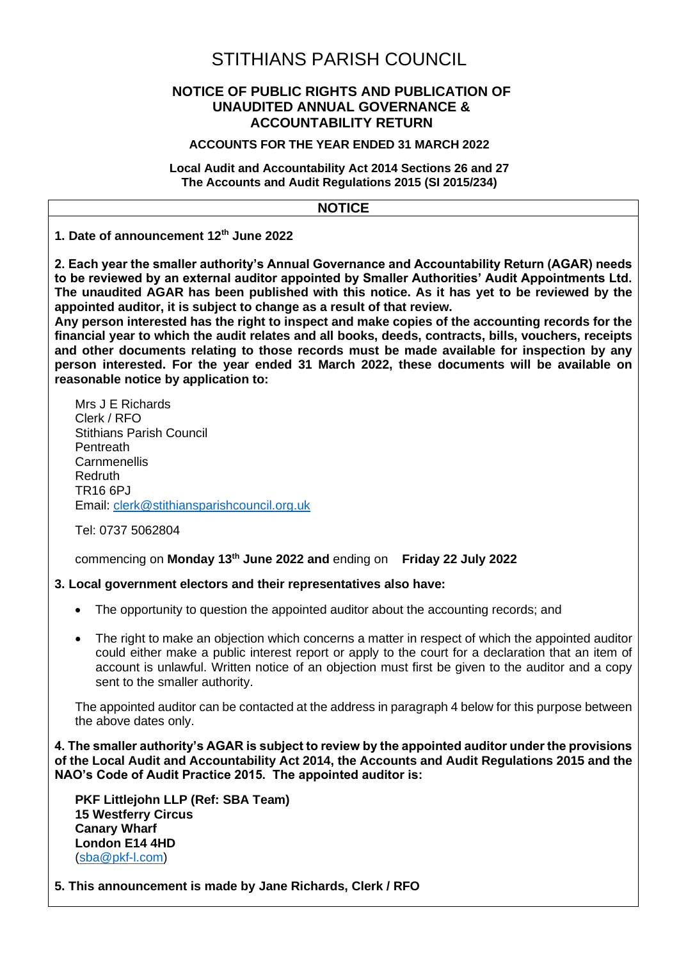# STITHIANS PARISH COUNCIL

# **NOTICE OF PUBLIC RIGHTS AND PUBLICATION OF UNAUDITED ANNUAL GOVERNANCE & ACCOUNTABILITY RETURN**

## **ACCOUNTS FOR THE YEAR ENDED 31 MARCH 2022**

**Local Audit and Accountability Act 2014 Sections 26 and 27 The Accounts and Audit Regulations 2015 (SI 2015/234)**

# **NOTICE**

**1. Date of announcement 12th June 2022**

**2. Each year the smaller authority's Annual Governance and Accountability Return (AGAR) needs to be reviewed by an external auditor appointed by Smaller Authorities' Audit Appointments Ltd. The unaudited AGAR has been published with this notice. As it has yet to be reviewed by the appointed auditor, it is subject to change as a result of that review.** 

**Any person interested has the right to inspect and make copies of the accounting records for the financial year to which the audit relates and all books, deeds, contracts, bills, vouchers, receipts and other documents relating to those records must be made available for inspection by any person interested. For the year ended 31 March 2022, these documents will be available on reasonable notice by application to:**

Mrs J E Richards Clerk / RFO Stithians Parish Council Pentreath Carnmenellis Redruth TR16 6PJ Email: [clerk@stithiansparishcouncil.org.uk](mailto:clerk@stithiansparishcouncil.org.uk)

Tel: 0737 5062804

commencing on **Monday 13th June 2022 and** ending on **Friday 22 July 2022**

# **3. Local government electors and their representatives also have:**

- The opportunity to question the appointed auditor about the accounting records; and
- The right to make an objection which concerns a matter in respect of which the appointed auditor could either make a public interest report or apply to the court for a declaration that an item of account is unlawful. Written notice of an objection must first be given to the auditor and a copy sent to the smaller authority.

The appointed auditor can be contacted at the address in paragraph 4 below for this purpose between the above dates only.

**4. The smaller authority's AGAR is subject to review by the appointed auditor under the provisions of the Local Audit and Accountability Act 2014, the Accounts and Audit Regulations 2015 and the NAO's Code of Audit Practice 2015. The appointed auditor is:**

**PKF Littlejohn LLP (Ref: SBA Team) 15 Westferry Circus Canary Wharf London E14 4HD** [\(sba@pkf-l.com\)](mailto:sba@pkf-l.com)

**5. This announcement is made by Jane Richards, Clerk / RFO**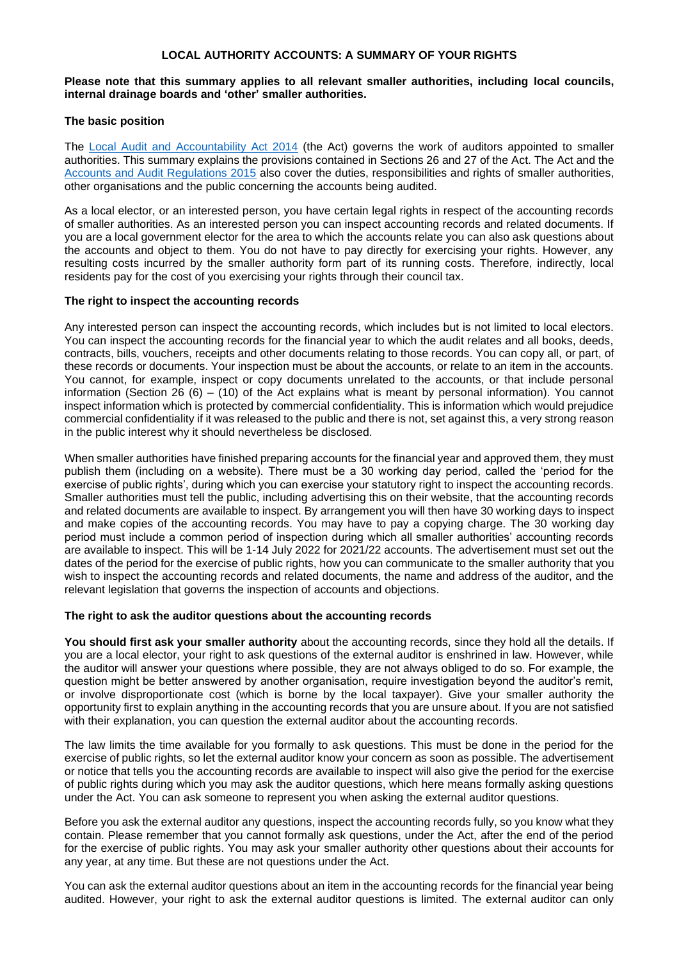## **LOCAL AUTHORITY ACCOUNTS: A SUMMARY OF YOUR RIGHTS**

#### **Please note that this summary applies to all relevant smaller authorities, including local councils, internal drainage boards and 'other' smaller authorities.**

#### **The basic position**

The [Local Audit and Accountability Act 2014](http://www.legislation.gov.uk/ukpga/2014/2/contents) (the Act) governs the work of auditors appointed to smaller authorities. This summary explains the provisions contained in Sections 26 and 27 of the Act. The Act and the [Accounts and Audit Regulations 2015](http://www.legislation.gov.uk/uksi/2015/234/contents/made) also cover the duties, responsibilities and rights of smaller authorities, other organisations and the public concerning the accounts being audited.

As a local elector, or an interested person, you have certain legal rights in respect of the accounting records of smaller authorities. As an interested person you can inspect accounting records and related documents. If you are a local government elector for the area to which the accounts relate you can also ask questions about the accounts and object to them. You do not have to pay directly for exercising your rights. However, any resulting costs incurred by the smaller authority form part of its running costs. Therefore, indirectly, local residents pay for the cost of you exercising your rights through their council tax.

#### **The right to inspect the accounting records**

Any interested person can inspect the accounting records, which includes but is not limited to local electors. You can inspect the accounting records for the financial year to which the audit relates and all books, deeds, contracts, bills, vouchers, receipts and other documents relating to those records. You can copy all, or part, of these records or documents. Your inspection must be about the accounts, or relate to an item in the accounts. You cannot, for example, inspect or copy documents unrelated to the accounts, or that include personal information (Section 26  $(6)$  – (10) of the Act explains what is meant by personal information). You cannot inspect information which is protected by commercial confidentiality. This is information which would prejudice commercial confidentiality if it was released to the public and there is not, set against this, a very strong reason in the public interest why it should nevertheless be disclosed.

When smaller authorities have finished preparing accounts for the financial year and approved them, they must publish them (including on a website). There must be a 30 working day period, called the 'period for the exercise of public rights', during which you can exercise your statutory right to inspect the accounting records. Smaller authorities must tell the public, including advertising this on their website, that the accounting records and related documents are available to inspect. By arrangement you will then have 30 working days to inspect and make copies of the accounting records. You may have to pay a copying charge. The 30 working day period must include a common period of inspection during which all smaller authorities' accounting records are available to inspect. This will be 1-14 July 2022 for 2021/22 accounts. The advertisement must set out the dates of the period for the exercise of public rights, how you can communicate to the smaller authority that you wish to inspect the accounting records and related documents, the name and address of the auditor, and the relevant legislation that governs the inspection of accounts and objections.

#### **The right to ask the auditor questions about the accounting records**

You should first ask your smaller authority about the accounting records, since they hold all the details. If you are a local elector, your right to ask questions of the external auditor is enshrined in law. However, while the auditor will answer your questions where possible, they are not always obliged to do so. For example, the question might be better answered by another organisation, require investigation beyond the auditor's remit, or involve disproportionate cost (which is borne by the local taxpayer). Give your smaller authority the opportunity first to explain anything in the accounting records that you are unsure about. If you are not satisfied with their explanation, you can question the external auditor about the accounting records.

The law limits the time available for you formally to ask questions. This must be done in the period for the exercise of public rights, so let the external auditor know your concern as soon as possible. The advertisement or notice that tells you the accounting records are available to inspect will also give the period for the exercise of public rights during which you may ask the auditor questions, which here means formally asking questions under the Act. You can ask someone to represent you when asking the external auditor questions.

Before you ask the external auditor any questions, inspect the accounting records fully, so you know what they contain. Please remember that you cannot formally ask questions, under the Act, after the end of the period for the exercise of public rights. You may ask your smaller authority other questions about their accounts for any year, at any time. But these are not questions under the Act.

You can ask the external auditor questions about an item in the accounting records for the financial year being audited. However, your right to ask the external auditor questions is limited. The external auditor can only